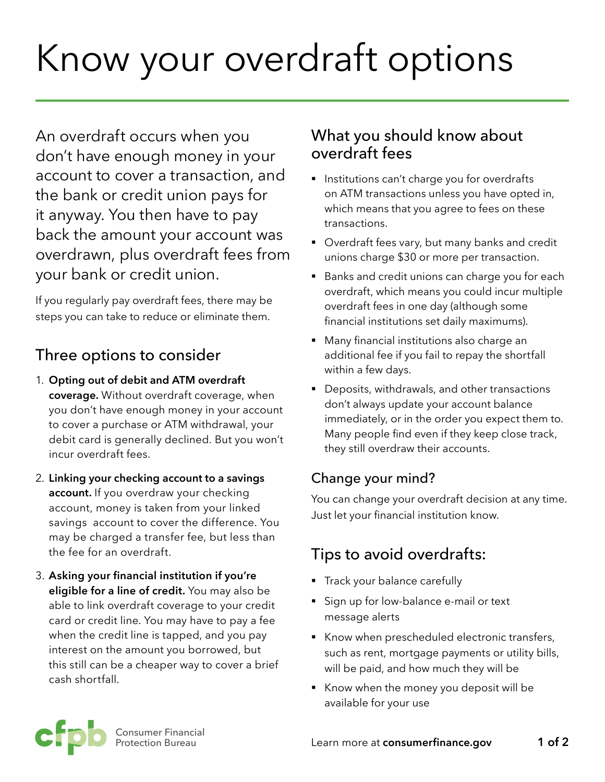# Know your overdraft options

An overdraft occurs when you don't have enough money in your account to cover a transaction, and the bank or credit union pays for it anyway. You then have to pay back the amount your account was overdrawn, plus overdraft fees from your bank or credit union.

If you regularly pay overdraft fees, there may be steps you can take to reduce or eliminate them.

## Three options to consider

- 1. **Opting out of debit and ATM overdraft coverage.** Without overdraft coverage, when you don't have enough money in your account to cover a purchase or ATM withdrawal, your debit card is generally declined. But you won't incur overdraft fees.
- 2. **Linking your checking account to a savings account.** If you overdraw your checking account, money is taken from your linked savings account to cover the difference. You may be charged a transfer fee, but less than the fee for an overdraft.
- 3. **Asking your financial institution if you're eligible for a line of credit.** You may also be able to link overdraft coverage to your credit card or credit line. You may have to pay a fee when the credit line is tapped, and you pay interest on the amount you borrowed, but this still can be a cheaper way to cover a brief cash shortfall.

## What you should know about overdraft fees

- Institutions can't charge you for overdrafts on ATM transactions unless you have opted in, which means that you agree to fees on these transactions.
- Overdraft fees vary, but many banks and credit unions charge \$30 or more per transaction.
- Banks and credit unions can charge you for each overdraft, which means you could incur multiple overdraft fees in one day (although some financial institutions set daily maximums).
- Many financial institutions also charge an additional fee if you fail to repay the shortfall within a few days.
- Deposits, withdrawals, and other transactions don't always update your account balance immediately, or in the order you expect them to. Many people find even if they keep close track, they still overdraw their accounts.

### Change your mind?

You can change your overdraft decision at any time. Just let your financial institution know.

# Tips to avoid overdrafts:

- **•** Track your balance carefully
- Sign up for low-balance e-mail or text message alerts
- Know when prescheduled electronic transfers, such as rent, mortgage payments or utility bills, will be paid, and how much they will be
- § Know when the money you deposit will be available for your use